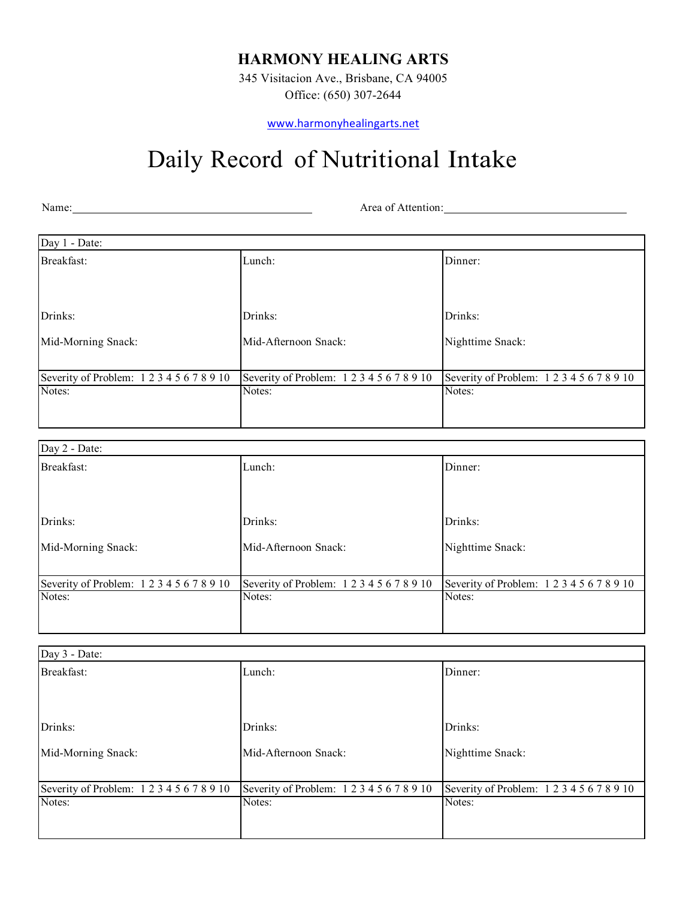## **HARMONY HEALING ARTS**

345 Visitacion Ave., Brisbane, CA 94005 Office: (650) 307-2644

www.harmonyhealingarts.net

## Daily Record of Nutritional Intake

Name: Name: Name: Name: Name: Name: Name: Name: Name: Name: Name: Name: Name: Name: Name: Name: Name: Name: Name: Name: Name: Name: Name: Name: Name: Name: Name: Name: Name: Name: Name: Name: Name: Name: Name: Name: Name:

| Day 1 - Date:                    |                                           |                                           |
|----------------------------------|-------------------------------------------|-------------------------------------------|
| Breakfast:                       | Lunch:                                    | Dinner:                                   |
|                                  |                                           |                                           |
| Drinks:                          | Drinks:                                   | Drinks:                                   |
| Mid-Morning Snack:               | Mid-Afternoon Snack:                      | Nighttime Snack:                          |
| Severity of Problem: 12345678910 | Severity of Problem: 1 2 3 4 5 6 7 8 9 10 | Severity of Problem: 1 2 3 4 5 6 7 8 9 10 |
| Notes:                           | Notes:                                    | Notes:                                    |
|                                  |                                           |                                           |
| Day 2 - Date:                    |                                           |                                           |
| Breakfast:                       | Lunch:                                    | Dinner:                                   |

| DI VUILIBUS.                              | Lanvii.                                   | $\mathbf{v}$ mussa.                       |
|-------------------------------------------|-------------------------------------------|-------------------------------------------|
|                                           |                                           |                                           |
| Drinks:                                   | Drinks:                                   | Drinks:                                   |
| Mid-Morning Snack:                        | Mid-Afternoon Snack:                      | Nighttime Snack:                          |
|                                           |                                           |                                           |
| Severity of Problem: 1 2 3 4 5 6 7 8 9 10 | Severity of Problem: 1 2 3 4 5 6 7 8 9 10 | Severity of Problem: 1 2 3 4 5 6 7 8 9 10 |
| Notes:                                    | Notes:                                    | Notes:                                    |
|                                           |                                           |                                           |
|                                           |                                           |                                           |

| Day 3 - Date:                    |                                           |                                           |
|----------------------------------|-------------------------------------------|-------------------------------------------|
| Breakfast:                       | Lunch:                                    | Dinner:                                   |
| Drinks:                          | Drinks:                                   | Drinks:                                   |
| Mid-Morning Snack:               | Mid-Afternoon Snack:                      | Nighttime Snack:                          |
| Severity of Problem: 12345678910 | Severity of Problem: 1 2 3 4 5 6 7 8 9 10 | Severity of Problem: 1 2 3 4 5 6 7 8 9 10 |
| Notes:                           | Notes:                                    | Notes:                                    |